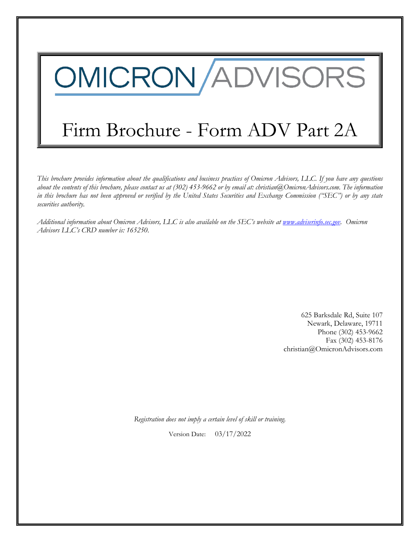# OMICRON/ADVISORS

# Firm Brochure - Form ADV Part 2A

*This brochure provides information about the qualifications and business practices of Omicron Advisors, LLC. If you have any questions about the contents of this brochure, please contact us at (302) 453-9662 or by email at: christian@OmicronAdvisors.com. The information in this brochure has not been approved or verified by the United States Securities and Exchange Commission ("SEC") or by any state securities authority.*

*Additional information about Omicron Advisors, LLC is also available on the SEC's website at [www.adviserinfo.sec.gov.](http://www.adviserinfo.sec.gov/) Omicron Advisors LLC's CRD number is: 165250*.

> 625 Barksdale Rd, Suite 107 Newark, Delaware, 19711 Phone (302) 453-9662 Fax (302) 453-8176 christian@OmicronAdvisors.com

*Registration does not imply a certain level of skill or training.*

Version Date: 03/17/2022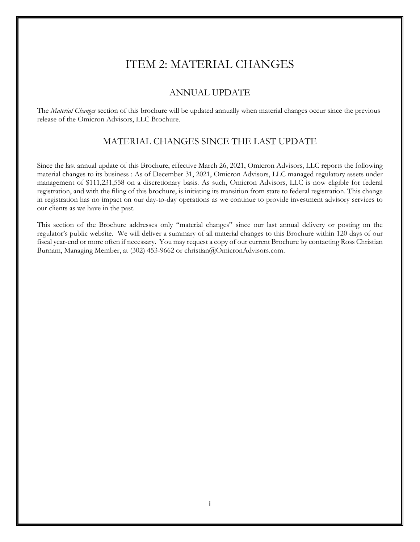# ITEM 2: MATERIAL CHANGES

## ANNUAL UPDATE

<span id="page-1-2"></span><span id="page-1-1"></span><span id="page-1-0"></span>The *Material Changes* section of this brochure will be updated annually when material changes occur since the previous release of the Omicron Advisors, LLC Brochure.

# MATERIAL CHANGES SINCE THE LAST UPDATE

Since the last annual update of this Brochure, effective March 26, 2021, Omicron Advisors, LLC reports the following material changes to its business : As of December 31, 2021, Omicron Advisors, LLC managed regulatory assets under management of \$111,231,558 on a discretionary basis. As such, Omicron Advisors, LLC is now eligible for federal registration, and with the filing of this brochure, is initiating its transition from state to federal registration. This change in registration has no impact on our day-to-day operations as we continue to provide investment advisory services to our clients as we have in the past.

This section of the Brochure addresses only "material changes" since our last annual delivery or posting on the regulator's public website. We will deliver a summary of all material changes to this Brochure within 120 days of our fiscal year-end or more often if necessary. You may request a copy of our current Brochure by contacting Ross Christian Burnam, Managing Member, at (302) 453-9662 or christian@OmicronAdvisors.com.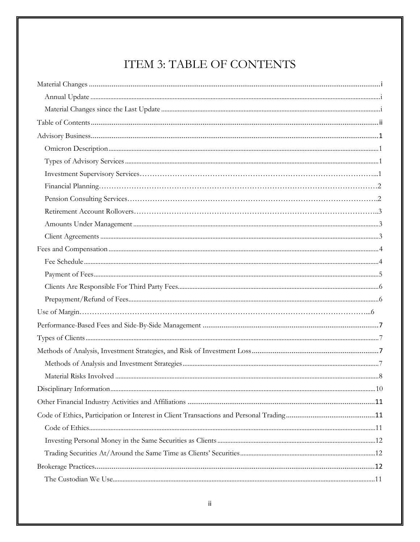# ITEM 3: TABLE OF CONTENTS

<span id="page-2-0"></span>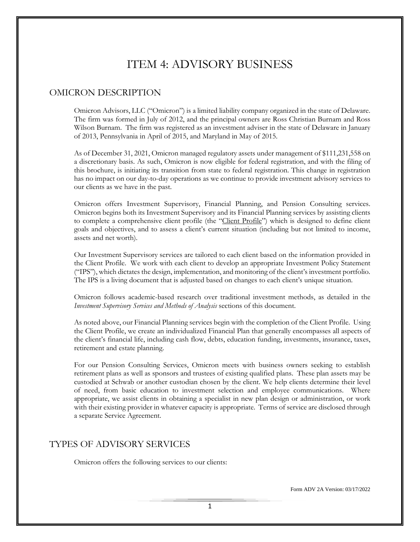# ITEM 4: ADVISORY BUSINESS

### <span id="page-4-1"></span><span id="page-4-0"></span>OMICRON DESCRIPTION

Omicron Advisors, LLC ("Omicron") is a limited liability company organized in the state of Delaware. The firm was formed in July of 2012, and the principal owners are Ross Christian Burnam and Ross Wilson Burnam. The firm was registered as an investment adviser in the state of Delaware in January of 2013, Pennsylvania in April of 2015, and Maryland in May of 2015.

As of December 31, 2021, Omicron managed regulatory assets under management of \$111,231,558 on a discretionary basis. As such, Omicron is now eligible for federal registration, and with the filing of this brochure, is initiating its transition from state to federal registration. This change in registration has no impact on our day-to-day operations as we continue to provide investment advisory services to our clients as we have in the past.

Omicron offers Investment Supervisory, Financial Planning, and Pension Consulting services. Omicron begins both its Investment Supervisory and its Financial Planning services by assisting clients to complete a comprehensive client profile (the "Client Profile") which is designed to define client goals and objectives, and to assess a client's current situation (including but not limited to income, assets and net worth).

Our Investment Supervisory services are tailored to each client based on the information provided in the Client Profile. We work with each client to develop an appropriate Investment Policy Statement ("IPS"), which dictates the design, implementation, and monitoring of the client's investment portfolio. The IPS is a living document that is adjusted based on changes to each client's unique situation.

Omicron follows academic-based research over traditional investment methods, as detailed in the *Investment Supervisory Services and Methods of Analysis* sections of this document.

As noted above, our Financial Planning services begin with the completion of the Client Profile. Using the Client Profile, we create an individualized Financial Plan that generally encompasses all aspects of the client's financial life, including cash flow, debts, education funding, investments, insurance, taxes, retirement and estate planning.

For our Pension Consulting Services, Omicron meets with business owners seeking to establish retirement plans as well as sponsors and trustees of existing qualified plans. These plan assets may be custodied at Schwab or another custodian chosen by the client. We help clients determine their level of need, from basic education to investment selection and employee communications. Where appropriate, we assist clients in obtaining a specialist in new plan design or administration, or work with their existing provider in whatever capacity is appropriate. Terms of service are disclosed through a separate Service Agreement.

## <span id="page-4-2"></span>TYPES OF ADVISORY SERVICES

Omicron offers the following services to our clients: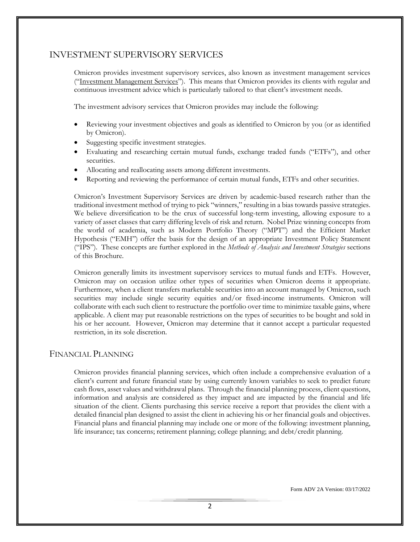# INVESTMENT SUPERVISORY SERVICES

Omicron provides investment supervisory services, also known as investment management services ("Investment Management Services"). This means that Omicron provides its clients with regular and continuous investment advice which is particularly tailored to that client's investment needs.

The investment advisory services that Omicron provides may include the following:

- Reviewing your investment objectives and goals as identified to Omicron by you (or as identified by Omicron).
- Suggesting specific investment strategies.
- Evaluating and researching certain mutual funds, exchange traded funds ("ETFs"), and other securities.
- Allocating and reallocating assets among different investments.
- Reporting and reviewing the performance of certain mutual funds, ETFs and other securities.

Omicron's Investment Supervisory Services are driven by academic-based research rather than the traditional investment method of trying to pick "winners," resulting in a bias towards passive strategies. We believe diversification to be the crux of successful long-term investing, allowing exposure to a variety of asset classes that carry differing levels of risk and return. Nobel Prize winning concepts from the world of academia, such as Modern Portfolio Theory ("MPT") and the Efficient Market Hypothesis ("EMH") offer the basis for the design of an appropriate Investment Policy Statement ("IPS"). These concepts are further explored in the *Methods of Analysis and Investment Strategies* sections of this Brochure.

Omicron generally limits its investment supervisory services to mutual funds and ETFs. However, Omicron may on occasion utilize other types of securities when Omicron deems it appropriate. Furthermore, when a client transfers marketable securities into an account managed by Omicron, such securities may include single security equities and/or fixed-income instruments. Omicron will collaborate with each such client to restructure the portfolio over time to minimize taxable gains, where applicable. A client may put reasonable restrictions on the types of securities to be bought and sold in his or her account. However, Omicron may determine that it cannot accept a particular requested restriction, in its sole discretion.

#### FINANCIAL PLANNING

Omicron provides financial planning services, which often include a comprehensive evaluation of a client's current and future financial state by using currently known variables to seek to predict future cash flows, asset values and withdrawal plans. Through the financial planning process, client questions, information and analysis are considered as they impact and are impacted by the financial and life situation of the client. Clients purchasing this service receive a report that provides the client with a detailed financial plan designed to assist the client in achieving his or her financial goals and objectives. Financial plans and financial planning may include one or more of the following: investment planning, life insurance; tax concerns; retirement planning; college planning; and debt/credit planning.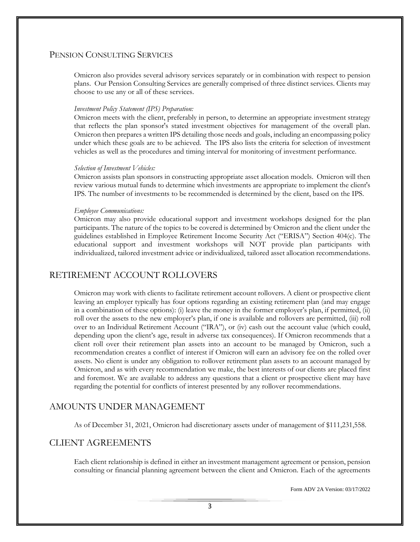### PENSION CONSULTING SERVICES

Omicron also provides several advisory services separately or in combination with respect to pension plans. Our Pension Consulting Services are generally comprised of three distinct services. Clients may choose to use any or all of these services.

#### *Investment Policy Statement (IPS) Preparation:*

Omicron meets with the client, preferably in person, to determine an appropriate investment strategy that reflects the plan sponsor's stated investment objectives for management of the overall plan. Omicron then prepares a written IPS detailing those needs and goals, including an encompassing policy under which these goals are to be achieved. The IPS also lists the criteria for selection of investment vehicles as well as the procedures and timing interval for monitoring of investment performance.

#### *Selection of Investment Vehicles:*

Omicron assists plan sponsors in constructing appropriate asset allocation models. Omicron will then review various mutual funds to determine which investments are appropriate to implement the client's IPS. The number of investments to be recommended is determined by the client, based on the IPS.

#### *Employee Communications:*

Omicron may also provide educational support and investment workshops designed for the plan participants. The nature of the topics to be covered is determined by Omicron and the client under the guidelines established in Employee Retirement Income Security Act ("ERISA") Section 404(c). The educational support and investment workshops will NOT provide plan participants with individualized, tailored investment advice or individualized, tailored asset allocation recommendations.

# <span id="page-6-0"></span>RETIREMENT ACCOUNT ROLLOVERS

Omicron may work with clients to facilitate retirement account rollovers. A client or prospective client leaving an employer typically has four options regarding an existing retirement plan (and may engage in a combination of these options): (i) leave the money in the former employer's plan, if permitted, (ii) roll over the assets to the new employer's plan, if one is available and rollovers are permitted, (iii) roll over to an Individual Retirement Account ("IRA"), or (iv) cash out the account value (which could, depending upon the client's age, result in adverse tax consequences). If Omicron recommends that a client roll over their retirement plan assets into an account to be managed by Omicron, such a recommendation creates a conflict of interest if Omicron will earn an advisory fee on the rolled over assets. No client is under any obligation to rollover retirement plan assets to an account managed by Omicron, and as with every recommendation we make, the best interests of our clients are placed first and foremost. We are available to address any questions that a client or prospective client may have regarding the potential for conflicts of interest presented by any rollover recommendations.

# AMOUNTS UNDER MANAGEMENT

<span id="page-6-1"></span>As of December 31, 2021, Omicron had discretionary assets under of management of \$111,231,558.

## CLIENT AGREEMENTS

Each client relationship is defined in either an investment management agreement or pension, pension consulting or financial planning agreement between the client and Omicron. Each of the agreements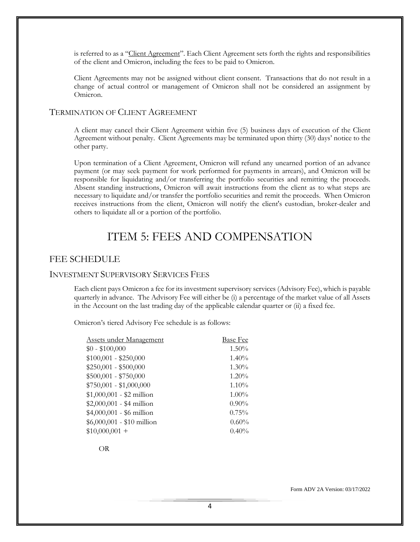is referred to as a "Client Agreement". Each Client Agreement sets forth the rights and responsibilities of the client and Omicron, including the fees to be paid to Omicron.

Client Agreements may not be assigned without client consent. Transactions that do not result in a change of actual control or management of Omicron shall not be considered an assignment by Omicron.

#### TERMINATION OF CLIENT AGREEMENT

A client may cancel their Client Agreement within five (5) business days of execution of the Client Agreement without penalty. Client Agreements may be terminated upon thirty (30) days' notice to the other party.

Upon termination of a Client Agreement, Omicron will refund any unearned portion of an advance payment (or may seek payment for work performed for payments in arrears), and Omicron will be responsible for liquidating and/or transferring the portfolio securities and remitting the proceeds. Absent standing instructions, Omicron will await instructions from the client as to what steps are necessary to liquidate and/or transfer the portfolio securities and remit the proceeds. When Omicron receives instructions from the client, Omicron will notify the client's custodian, broker-dealer and others to liquidate all or a portion of the portfolio.

# <span id="page-7-0"></span>ITEM 5: FEES AND COMPENSATION

#### <span id="page-7-1"></span>FEE SCHEDULE

#### INVESTMENT SUPERVISORY SERVICES FEES

Each client pays Omicron a fee for its investment supervisory services (Advisory Fee), which is payable quarterly in advance. The Advisory Fee will either be (i) a percentage of the market value of all Assets in the Account on the last trading day of the applicable calendar quarter or (ii) a fixed fee.

Omicron's tiered Advisory Fee schedule is as follows:

| Assets under Management    | <b>Base Fee</b> |
|----------------------------|-----------------|
| $$0 - $100,000$            | 1.50%           |
| $$100,001 - $250,000$      | $1.40\%$        |
| $$250,001 - $500,000$      | $1.30\%$        |
| $$500,001 - $750,000$      | $1.20\%$        |
| $$750,001 - $1,000,000$    | 1.10%           |
| $$1,000,001 - $2$ million  | $1.00\%$        |
| $$2,000,001 - $4$ million  | $0.90\%$        |
| $$4,000,001 - $6$ million  | 0.75%           |
| $$6,000,001 - $10$ million | 0.60%           |
| $$10,000,001 +$            | 0.40%           |

OR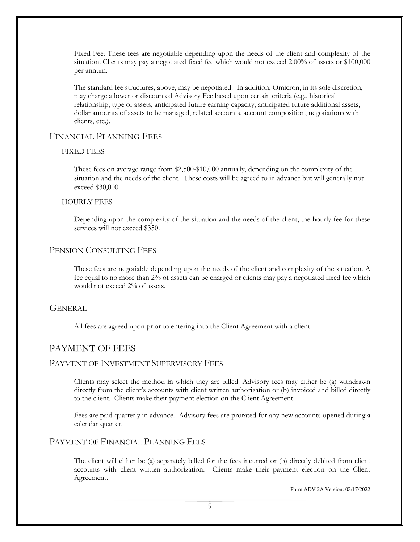Fixed Fee: These fees are negotiable depending upon the needs of the client and complexity of the situation. Clients may pay a negotiated fixed fee which would not exceed 2.00% of assets or \$100,000 per annum.

The standard fee structures, above, may be negotiated. In addition, Omicron, in its sole discretion, may charge a lower or discounted Advisory Fee based upon certain criteria (e.g., historical relationship, type of assets, anticipated future earning capacity, anticipated future additional assets, dollar amounts of assets to be managed, related accounts, account composition, negotiations with clients, etc.).

#### FINANCIAL PLANNING FEES

#### FIXED FEES

These fees on average range from \$2,500-\$10,000 annually, depending on the complexity of the situation and the needs of the client. These costs will be agreed to in advance but will generally not exceed \$30,000.

#### HOURLY FEES

Depending upon the complexity of the situation and the needs of the client, the hourly fee for these services will not exceed \$350.

#### PENSION CONSULTING FEES

These fees are negotiable depending upon the needs of the client and complexity of the situation. A fee equal to no more than 2% of assets can be charged or clients may pay a negotiated fixed fee which would not exceed 2% of assets.

#### **GENERAL**

All fees are agreed upon prior to entering into the Client Agreement with a client.

#### <span id="page-8-0"></span>PAYMENT OF FEES

#### PAYMENT OF INVESTMENT SUPERVISORY FEES

Clients may select the method in which they are billed. Advisory fees may either be (a) withdrawn directly from the client's accounts with client written authorization or (b) invoiced and billed directly to the client. Clients make their payment election on the Client Agreement.

Fees are paid quarterly in advance. Advisory fees are prorated for any new accounts opened during a calendar quarter.

#### PAYMENT OF FINANCIAL PLANNING FEES

The client will either be (a) separately billed for the fees incurred or (b) directly debited from client accounts with client written authorization. Clients make their payment election on the Client Agreement.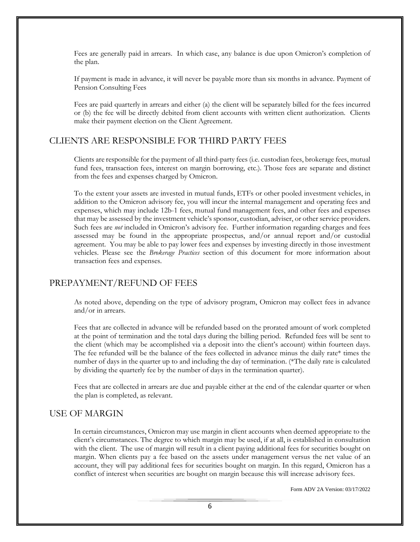Fees are generally paid in arrears. In which case, any balance is due upon Omicron's completion of the plan.

If payment is made in advance, it will never be payable more than six months in advance. Payment of Pension Consulting Fees

Fees are paid quarterly in arrears and either (a) the client will be separately billed for the fees incurred or (b) the fee will be directly debited from client accounts with written client authorization. Clients make their payment election on the Client Agreement.

# <span id="page-9-0"></span>CLIENTS ARE RESPONSIBLE FOR THIRD PARTY FEES

Clients are responsible for the payment of all third-party fees (i.e. custodian fees, brokerage fees, mutual fund fees, transaction fees, interest on margin borrowing, etc.). Those fees are separate and distinct from the fees and expenses charged by Omicron.

To the extent your assets are invested in mutual funds, ETFs or other pooled investment vehicles, in addition to the Omicron advisory fee, you will incur the internal management and operating fees and expenses, which may include 12b-1 fees, mutual fund management fees, and other fees and expenses that may be assessed by the investment vehicle's sponsor, custodian, adviser, or other service providers. Such fees are *not* included in Omicron's advisory fee. Further information regarding charges and fees assessed may be found in the appropriate prospectus, and/or annual report and/or custodial agreement. You may be able to pay lower fees and expenses by investing directly in those investment vehicles. Please see the *Brokerage Practices* section of this document for more information about transaction fees and expenses.

# <span id="page-9-1"></span>PREPAYMENT/REFUND OF FEES

As noted above, depending on the type of advisory program, Omicron may collect fees in advance and/or in arrears.

Fees that are collected in advance will be refunded based on the prorated amount of work completed at the point of termination and the total days during the billing period. Refunded fees will be sent to the client (which may be accomplished via a deposit into the client's account) within fourteen days. The fee refunded will be the balance of the fees collected in advance minus the daily rate\* times the number of days in the quarter up to and including the day of termination. (\*The daily rate is calculated by dividing the quarterly fee by the number of days in the termination quarter).

Fees that are collected in arrears are due and payable either at the end of the calendar quarter or when the plan is completed, as relevant.

## USE OF MARGIN

In certain circumstances, Omicron may use margin in client accounts when deemed appropriate to the client's circumstances. The degree to which margin may be used, if at all, is established in consultation with the client. The use of margin will result in a client paying additional fees for securities bought on margin. When clients pay a fee based on the assets under management versus the net value of an account, they will pay additional fees for securities bought on margin. In this regard, Omicron has a conflict of interest when securities are bought on margin because this will increase advisory fees.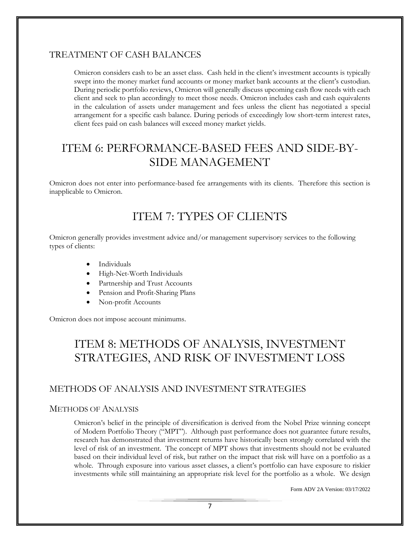## TREATMENT OF CASH BALANCES

Omicron considers cash to be an asset class. Cash held in the client's investment accounts is typically swept into the money market fund accounts or money market bank accounts at the client's custodian. During periodic portfolio reviews, Omicron will generally discuss upcoming cash flow needs with each client and seek to plan accordingly to meet those needs. Omicron includes cash and cash equivalents in the calculation of assets under management and fees unless the client has negotiated a special arrangement for a specific cash balance. During periods of exceedingly low short-term interest rates, client fees paid on cash balances will exceed money market yields.

# <span id="page-10-0"></span>ITEM 6: PERFORMANCE-BASED FEES AND SIDE-BY-SIDE MANAGEMENT

<span id="page-10-1"></span>Omicron does not enter into performance-based fee arrangements with its clients. Therefore this section is inapplicable to Omicron.

# ITEM 7: TYPES OF CLIENTS

Omicron generally provides investment advice and/or management supervisory services to the following types of clients:

- Individuals
- High-Net-Worth Individuals
- Partnership and Trust Accounts
- Pension and Profit-Sharing Plans
- Non-profit Accounts

<span id="page-10-2"></span>Omicron does not impose account minimums.

# ITEM 8: METHODS OF ANALYSIS, INVESTMENT STRATEGIES, AND RISK OF INVESTMENT LOSS

# <span id="page-10-3"></span>METHODS OF ANALYSIS AND INVESTMENT STRATEGIES

#### METHODS OF ANALYSIS

Omicron's belief in the principle of diversification is derived from the Nobel Prize winning concept of Modern Portfolio Theory ("MPT"). Although past performance does not guarantee future results, research has demonstrated that investment returns have historically been strongly correlated with the level of risk of an investment. The concept of MPT shows that investments should not be evaluated based on their individual level of risk, but rather on the impact that risk will have on a portfolio as a whole. Through exposure into various asset classes, a client's portfolio can have exposure to riskier investments while still maintaining an appropriate risk level for the portfolio as a whole. We design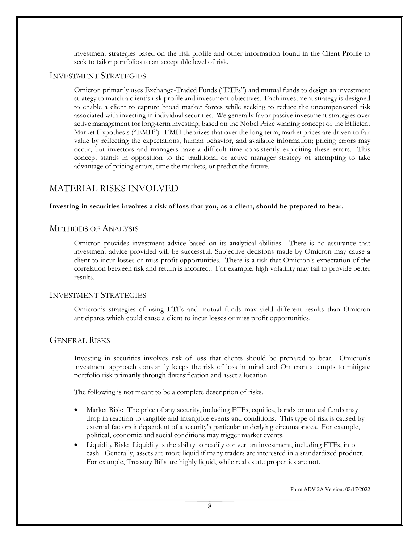investment strategies based on the risk profile and other information found in the Client Profile to seek to tailor portfolios to an acceptable level of risk.

#### INVESTMENT STRATEGIES

Omicron primarily uses Exchange-Traded Funds ("ETFs") and mutual funds to design an investment strategy to match a client's risk profile and investment objectives. Each investment strategy is designed to enable a client to capture broad market forces while seeking to reduce the uncompensated risk associated with investing in individual securities. We generally favor passive investment strategies over active management for long-term investing, based on the Nobel Prize winning concept of the Efficient Market Hypothesis ("EMH"). EMH theorizes that over the long term, market prices are driven to fair value by reflecting the expectations, human behavior, and available information; pricing errors may occur, but investors and managers have a difficult time consistently exploiting these errors. This concept stands in opposition to the traditional or active manager strategy of attempting to take advantage of pricing errors, time the markets, or predict the future.

## <span id="page-11-0"></span>MATERIAL RISKS INVOLVED

#### **Investing in securities involves a risk of loss that you, as a client, should be prepared to bear.**

#### METHODS OF ANALYSIS

Omicron provides investment advice based on its analytical abilities. There is no assurance that investment advice provided will be successful. Subjective decisions made by Omicron may cause a client to incur losses or miss profit opportunities. There is a risk that Omicron's expectation of the correlation between risk and return is incorrect. For example, high volatility may fail to provide better results.

#### INVESTMENT STRATEGIES

Omicron's strategies of using ETFs and mutual funds may yield different results than Omicron anticipates which could cause a client to incur losses or miss profit opportunities.

#### GENERAL RISKS

Investing in securities involves risk of loss that clients should be prepared to bear. Omicron's investment approach constantly keeps the risk of loss in mind and Omicron attempts to mitigate portfolio risk primarily through diversification and asset allocation.

The following is not meant to be a complete description of risks.

- Market Risk: The price of any security, including ETFs, equities, bonds or mutual funds may drop in reaction to tangible and intangible events and conditions. This type of risk is caused by external factors independent of a security's particular underlying circumstances. For example, political, economic and social conditions may trigger market events.
- Liquidity Risk: Liquidity is the ability to readily convert an investment, including ETFs, into cash. Generally, assets are more liquid if many traders are interested in a standardized product. For example, Treasury Bills are highly liquid, while real estate properties are not.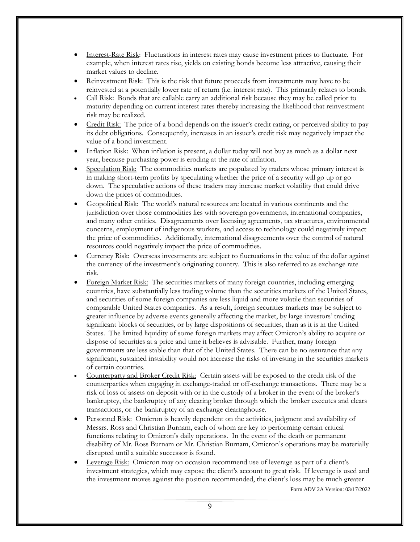- Interest-Rate Risk: Fluctuations in interest rates may cause investment prices to fluctuate. For example, when interest rates rise, yields on existing bonds become less attractive, causing their market values to decline.
- Reinvestment Risk: This is the risk that future proceeds from investments may have to be reinvested at a potentially lower rate of return (i.e. interest rate). This primarily relates to bonds.
- Call Risk: Bonds that are callable carry an additional risk because they may be called prior to maturity depending on current interest rates thereby increasing the likelihood that reinvestment risk may be realized.
- Credit Risk: The price of a bond depends on the issuer's credit rating, or perceived ability to pay its debt obligations. Consequently, increases in an issuer's credit risk may negatively impact the value of a bond investment.
- Inflation Risk: When inflation is present, a dollar today will not buy as much as a dollar next year, because purchasing power is eroding at the rate of inflation.
- Speculation Risk: The commodities markets are populated by traders whose primary interest is in making short-term profits by speculating whether the price of a security will go up or go down. The speculative actions of these traders may increase market volatility that could drive down the prices of commodities.
- Geopolitical Risk: The world's natural resources are located in various continents and the jurisdiction over those commodities lies with sovereign governments, international companies, and many other entities. Disagreements over licensing agreements, tax structures, environmental concerns, employment of indigenous workers, and access to technology could negatively impact the price of commodities. Additionally, international disagreements over the control of natural resources could negatively impact the price of commodities.
- Currency Risk: Overseas investments are subject to fluctuations in the value of the dollar against the currency of the investment's originating country. This is also referred to as exchange rate risk.
- Foreign Market Risk: The securities markets of many foreign countries, including emerging countries, have substantially less trading volume than the securities markets of the United States, and securities of some foreign companies are less liquid and more volatile than securities of comparable United States companies. As a result, foreign securities markets may be subject to greater influence by adverse events generally affecting the market, by large investors' trading significant blocks of securities, or by large dispositions of securities, than as it is in the United States. The limited liquidity of some foreign markets may affect Omicron's ability to acquire or dispose of securities at a price and time it believes is advisable. Further, many foreign governments are less stable than that of the United States. There can be no assurance that any significant, sustained instability would not increase the risks of investing in the securities markets of certain countries.
- Counterparty and Broker Credit Risk: Certain assets will be exposed to the credit risk of the counterparties when engaging in exchange-traded or off-exchange transactions. There may be a risk of loss of assets on deposit with or in the custody of a broker in the event of the broker's bankruptcy, the bankruptcy of any clearing broker through which the broker executes and clears transactions, or the bankruptcy of an exchange clearinghouse.
- Personnel Risk: Omicron is heavily dependent on the activities, judgment and availability of Messrs. Ross and Christian Burnam, each of whom are key to performing certain critical functions relating to Omicron's daily operations. In the event of the death or permanent disability of Mr. Ross Burnam or Mr. Christian Burnam, Omicron's operations may be materially disrupted until a suitable successor is found.
- Leverage Risk: Omicron may on occasion recommend use of leverage as part of a client's investment strategies, which may expose the client's account to great risk. If leverage is used and the investment moves against the position recommended, the client's loss may be much greater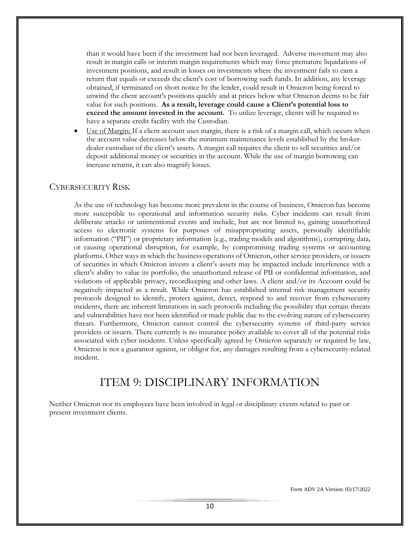than it would have been if the investment had not been leveraged. Adverse movement may also result in margin calls or interim margin requirements which may force premature liquidations of investment positions, and result in losses on investments where the investment fails to earn a return that equals or exceeds the client's cost of borrowing such funds. In addition, any leverage obtained, if terminated on short notice by the lender, could result in Omicron being forced to unwind the client account's positions quickly and at prices below what Omicron deems to be fair value for such positions. **As a result, leverage could cause a Client's potential loss to exceed the amount invested in the account.** To utilize leverage, clients will be required to have a separate credit facility with the Custodian.

Use of Margin: If a client account uses margin, there is a risk of a margin call, which occurs when the account value decreases below the minimum maintenance levels established by the brokerdealer custodian of the client's assets. A margin call requires the client to sell securities and/or deposit additional money or securities in the account. While the use of margin borrowing can increase returns, it can also magnify losses.

#### CYBERSECURITY RISK

As the use of technology has become more prevalent in the course of business, Omicron has become more susceptible to operational and information security risks. Cyber incidents can result from deliberate attacks or unintentional events and include, but are not limited to, gaining unauthorized access to electronic systems for purposes of misappropriating assets, personally identifiable information ("PII") or proprietary information (e.g., trading models and algorithms), corrupting data, or causing operational disruption, for example, by compromising trading systems or accounting platforms. Other ways in which the business operations of Omicron, other service providers, or issuers of securities in which Omicron invests a client's assets may be impacted include interference with a client's ability to value its portfolio, the unauthorized release of PII or confidential information, and violations of applicable privacy, recordkeeping and other laws. A client and/or its Account could be negatively impacted as a result. While Omicron has established internal risk management security protocols designed to identify, protect against, detect, respond to and recover from cybersecurity incidents, there are inherent limitations in such protocols including the possibility that certain threats and vulnerabilities have not been identified or made public due to the evolving nature of cybersecurity threats. Furthermore, Omicron cannot control the cybersecurity systems of third-party service providers or issuers. There currently is no insurance policy available to cover all of the potential risks associated with cyber incidents. Unless specifically agreed by Omicron separately or required by law, Omicron is not a guarantor against, or obligor for, any damages resulting from a cybersecurity-related incident.

# <span id="page-13-1"></span>ITEM 9: DISCIPLINARY INFORMATION

<span id="page-13-0"></span>Neither Omicron nor its employees have been involved in legal or disciplinary events related to past or present investment clients.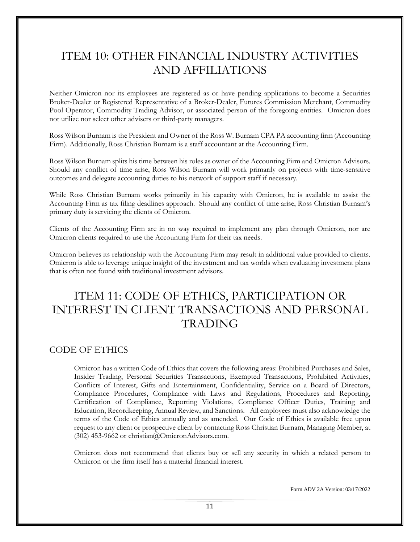# ITEM 10: OTHER FINANCIAL INDUSTRY ACTIVITIES AND AFFILIATIONS

Neither Omicron nor its employees are registered as or have pending applications to become a Securities Broker-Dealer or Registered Representative of a Broker-Dealer, Futures Commission Merchant, Commodity Pool Operator, Commodity Trading Advisor, or associated person of the foregoing entities. Omicron does not utilize nor select other advisers or third-party managers.

Ross Wilson Burnam is the President and Owner of the Ross W. Burnam CPA PA accounting firm (Accounting Firm). Additionally, Ross Christian Burnam is a staff accountant at the Accounting Firm.

Ross Wilson Burnam splits his time between his roles as owner of the Accounting Firm and Omicron Advisors. Should any conflict of time arise, Ross Wilson Burnam will work primarily on projects with time-sensitive outcomes and delegate accounting duties to his network of support staff if necessary.

While Ross Christian Burnam works primarily in his capacity with Omicron, he is available to assist the Accounting Firm as tax filing deadlines approach. Should any conflict of time arise, Ross Christian Burnam's primary duty is servicing the clients of Omicron.

Clients of the Accounting Firm are in no way required to implement any plan through Omicron, nor are Omicron clients required to use the Accounting Firm for their tax needs.

Omicron believes its relationship with the Accounting Firm may result in additional value provided to clients. Omicron is able to leverage unique insight of the investment and tax worlds when evaluating investment plans that is often not found with traditional investment advisors.

# <span id="page-14-0"></span>ITEM 11: CODE OF ETHICS, PARTICIPATION OR INTEREST IN CLIENT TRANSACTIONS AND PERSONAL TRADING

# <span id="page-14-1"></span>CODE OF ETHICS

Omicron has a written Code of Ethics that covers the following areas: Prohibited Purchases and Sales, Insider Trading, Personal Securities Transactions, Exempted Transactions, Prohibited Activities, Conflicts of Interest, Gifts and Entertainment, Confidentiality, Service on a Board of Directors, Compliance Procedures, Compliance with Laws and Regulations, Procedures and Reporting, Certification of Compliance, Reporting Violations, Compliance Officer Duties, Training and Education, Recordkeeping, Annual Review, and Sanctions. All employees must also acknowledge the terms of the Code of Ethics annually and as amended. Our Code of Ethics is available free upon request to any client or prospective client by contacting Ross Christian Burnam, Managing Member, at (302) 453-9662 or christian@OmicronAdvisors.com.

Omicron does not recommend that clients buy or sell any security in which a related person to Omicron or the firm itself has a material financial interest.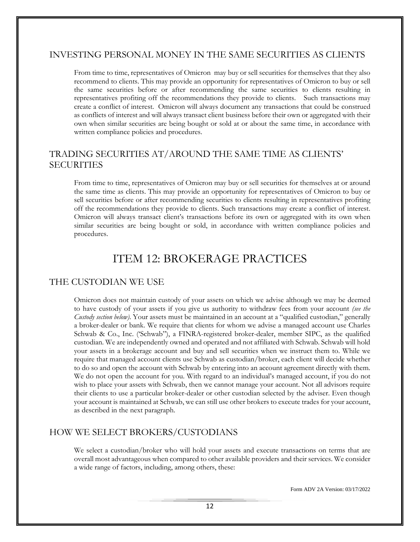## <span id="page-15-0"></span>INVESTING PERSONAL MONEY IN THE SAME SECURITIES AS CLIENTS

From time to time, representatives of Omicron may buy or sell securities for themselves that they also recommend to clients. This may provide an opportunity for representatives of Omicron to buy or sell the same securities before or after recommending the same securities to clients resulting in representatives profiting off the recommendations they provide to clients. Such transactions may create a conflict of interest. Omicron will always document any transactions that could be construed as conflicts of interest and will always transact client business before their own or aggregated with their own when similar securities are being bought or sold at or about the same time, in accordance with written compliance policies and procedures.

# <span id="page-15-1"></span>TRADING SECURITIES AT/AROUND THE SAME TIME AS CLIENTS' SECURITIES

From time to time, representatives of Omicron may buy or sell securities for themselves at or around the same time as clients. This may provide an opportunity for representatives of Omicron to buy or sell securities before or after recommending securities to clients resulting in representatives profiting off the recommendations they provide to clients. Such transactions may create a conflict of interest. Omicron will always transact client's transactions before its own or aggregated with its own when similar securities are being bought or sold, in accordance with written compliance policies and procedures.

# <span id="page-15-2"></span>ITEM 12: BROKERAGE PRACTICES

# THE CUSTODIAN WE USE

Omicron does not maintain custody of your assets on which we advise although we may be deemed to have custody of your assets if you give us authority to withdraw fees from your account *(see the Custody section below)*. Your assets must be maintained in an account at a "qualified custodian," generally a broker-dealer or bank. We require that clients for whom we advise a managed account use Charles Schwab & Co., Inc. ('Schwab"), a FINRA-registered broker-dealer, member SIPC, as the qualified custodian. We are independently owned and operated and not affiliated with Schwab. Schwab will hold your assets in a brokerage account and buy and sell securities when we instruct them to. While we require that managed account clients use Schwab as custodian/broker, each client will decide whether to do so and open the account with Schwab by entering into an account agreement directly with them. We do not open the account for you. With regard to an individual's managed account, if you do not wish to place your assets with Schwab, then we cannot manage your account. Not all advisors require their clients to use a particular broker-dealer or other custodian selected by the adviser. Even though your account is maintained at Schwab, we can still use other brokers to execute trades for your account, as described in the next paragraph.

# HOW WE SELECT BROKERS/CUSTODIANS

We select a custodian/broker who will hold your assets and execute transactions on terms that are overall most advantageous when compared to other available providers and their services. We consider a wide range of factors, including, among others, these: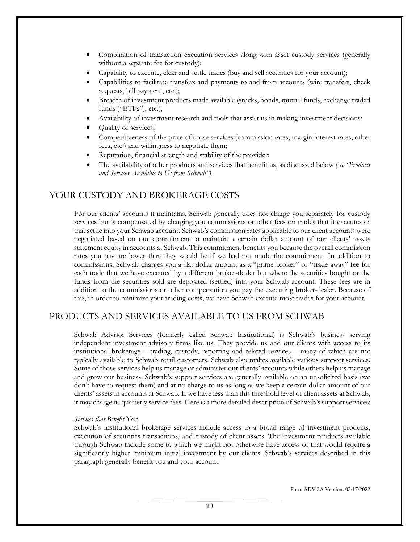- Combination of transaction execution services along with asset custody services (generally without a separate fee for custody);
- Capability to execute, clear and settle trades (buy and sell securities for your account);
- Capabilities to facilitate transfers and payments to and from accounts (wire transfers, check requests, bill payment, etc.);
- Breadth of investment products made available (stocks, bonds, mutual funds, exchange traded funds ("ETFs"), etc.);
- Availability of investment research and tools that assist us in making investment decisions;
- Quality of services;
- Competitiveness of the price of those services (commission rates, margin interest rates, other fees, etc.) and willingness to negotiate them;
- Reputation, financial strength and stability of the provider;
- The availability of other products and services that benefit us, as discussed below *(see "Products and Services Available to Us from Schwab").*

## YOUR CUSTODY AND BROKERAGE COSTS

For our clients' accounts it maintains, Schwab generally does not charge you separately for custody services but is compensated by charging you commissions or other fees on trades that it executes or that settle into your Schwab account. Schwab's commission rates applicable to our client accounts were negotiated based on our commitment to maintain a certain dollar amount of our clients' assets statement equity in accounts at Schwab. This commitment benefits you because the overall commission rates you pay are lower than they would be if we had not made the commitment. In addition to commissions, Schwab charges you a flat dollar amount as a "prime broker" or "trade away" fee for each trade that we have executed by a different broker-dealer but where the securities bought or the funds from the securities sold are deposited (settled) into your Schwab account. These fees are in addition to the commissions or other compensation you pay the executing broker-dealer. Because of this, in order to minimize your trading costs, we have Schwab execute most trades for your account.

## PRODUCTS AND SERVICES AVAILABLE TO US FROM SCHWAB

Schwab Advisor Services (formerly called Schwab Institutional) is Schwab's business serving independent investment advisory firms like us. They provide us and our clients with access to its institutional brokerage – trading, custody, reporting and related services – many of which are not typically available to Schwab retail customers. Schwab also makes available various support services. Some of those services help us manage or administer our clients' accounts while others help us manage and grow our business. Schwab's support services are generally available on an unsolicited basis (we don't have to request them) and at no charge to us as long as we keep a certain dollar amount of our clients' assets in accounts at Schwab. If we have less than this threshold level of client assets at Schwab, it may charge us quarterly service fees. Here is a more detailed description of Schwab's support services:

#### *Services that Benefit You*:

Schwab's institutional brokerage services include access to a broad range of investment products, execution of securities transactions, and custody of client assets. The investment products available through Schwab include some to which we might not otherwise have access or that would require a significantly higher minimum initial investment by our clients. Schwab's services described in this paragraph generally benefit you and your account.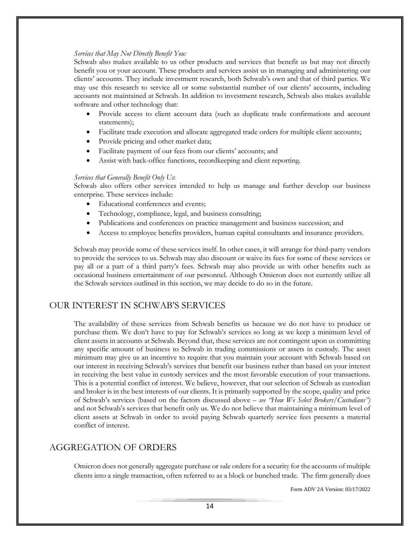#### *Services that May Not Directly Benefit You:*

Schwab also makes available to us other products and services that benefit us but may not directly benefit you or your account. These products and services assist us in managing and administering our clients' accounts. They include investment research, both Schwab's own and that of third parties. We may use this research to service all or some substantial number of our clients' accounts, including accounts not maintained at Schwab. In addition to investment research, Schwab also makes available software and other technology that:

- Provide access to client account data (such as duplicate trade confirmations and account statements);
- Facilitate trade execution and allocate aggregated trade orders for multiple client accounts;
- Provide pricing and other market data;
- Facilitate payment of our fees from our clients' accounts; and
- Assist with back-office functions, recordkeeping and client reporting.

#### *Services that Generally Benefit Only Us*:

Schwab also offers other services intended to help us manage and further develop our business enterprise. These services include:

- Educational conferences and events;
- Technology, compliance, legal, and business consulting;
- Publications and conferences on practice management and business succession; and
- Access to employee benefits providers, human capital consultants and insurance providers.

Schwab may provide some of these services itself. In other cases, it will arrange for third-party vendors to provide the services to us. Schwab may also discount or waive its fees for some of these services or pay all or a part of a third party's fees. Schwab may also provide us with other benefits such as occasional business entertainment of our personnel. Although Omicron does not currently utilize all the Schwab services outlined in this section, we may decide to do so in the future.

## OUR INTEREST IN SCHWAB'S SERVICES

The availability of these services from Schwab benefits us because we do not have to produce or purchase them. We don't have to pay for Schwab's services so long as we keep a minimum level of client assets in accounts at Schwab. Beyond that, these services are not contingent upon us committing any specific amount of business to Schwab in trading commissions or assets in custody. The asset minimum may give us an incentive to require that you maintain your account with Schwab based on our interest in receiving Schwab's services that benefit our business rather than based on your interest in receiving the best value in custody services and the most favorable execution of your transactions. This is a potential conflict of interest. We believe, however, that our selection of Schwab as custodian and broker is in the best interests of our clients. It is primarily supported by the scope, quality and price of Schwab's services (based on the factors discussed above – *see "How We Select Brokers/Custodians")*  and not Schwab's services that benefit only us. We do not believe that maintaining a minimum level of client assets at Schwab in order to avoid paying Schwab quarterly service fees presents a material conflict of interest.

## AGGREGATION OF ORDERS

Omicron does not generally aggregate purchase or sale orders for a security for the accounts of multiple clients into a single transaction, often referred to as a block or bunched trade. The firm generally does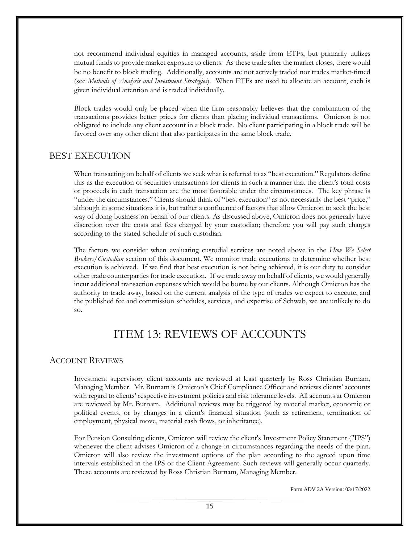not recommend individual equities in managed accounts, aside from ETFs, but primarily utilizes mutual funds to provide market exposure to clients. As these trade after the market closes, there would be no benefit to block trading. Additionally, accounts are not actively traded nor trades market-timed (see *Methods of Analysis and Investment Strategies*). When ETFs are used to allocate an account, each is given individual attention and is traded individually.

<span id="page-18-0"></span>Block trades would only be placed when the firm reasonably believes that the combination of the transactions provides better prices for clients than placing individual transactions. Omicron is not obligated to include any client account in a block trade. No client participating in a block trade will be favored over any other client that also participates in the same block trade.

## BEST EXECUTION

When transacting on behalf of clients we seek what is referred to as "best execution." Regulators define this as the execution of securities transactions for clients in such a manner that the client's total costs or proceeds in each transaction are the most favorable under the circumstances. The key phrase is "under the circumstances." Clients should think of "best execution" as not necessarily the best "price," although in some situations it is, but rather a confluence of factors that allow Omicron to seek the best way of doing business on behalf of our clients. As discussed above, Omicron does not generally have discretion over the costs and fees charged by your custodian; therefore you will pay such charges according to the stated schedule of such custodian.

The factors we consider when evaluating custodial services are noted above in the *How We Select Brokers/Custodian* section of this document. We monitor trade executions to determine whether best execution is achieved. If we find that best execution is not being achieved, it is our duty to consider other trade counterparties for trade execution. If we trade away on behalf of clients, we would generally incur additional transaction expenses which would be borne by our clients. Although Omicron has the authority to trade away, based on the current analysis of the type of trades we expect to execute, and the published fee and commission schedules, services, and expertise of Schwab, we are unlikely to do so.

# ITEM 13: REVIEWS OF ACCOUNTS

#### ACCOUNT REVIEWS

Investment supervisory client accounts are reviewed at least quarterly by Ross Christian Burnam, Managing Member. Mr. Burnam is Omicron's Chief Compliance Officer and reviews clients' accounts with regard to clients' respective investment policies and risk tolerance levels. All accounts at Omicron are reviewed by Mr. Burnam. Additional reviews may be triggered by material market, economic or political events, or by changes in a client's financial situation (such as retirement, termination of employment, physical move, material cash flows, or inheritance).

For Pension Consulting clients, Omicron will review the client's Investment Policy Statement ("IPS") whenever the client advises Omicron of a change in circumstances regarding the needs of the plan. Omicron will also review the investment options of the plan according to the agreed upon time intervals established in the IPS or the Client Agreement. Such reviews will generally occur quarterly. These accounts are reviewed by Ross Christian Burnam, Managing Member.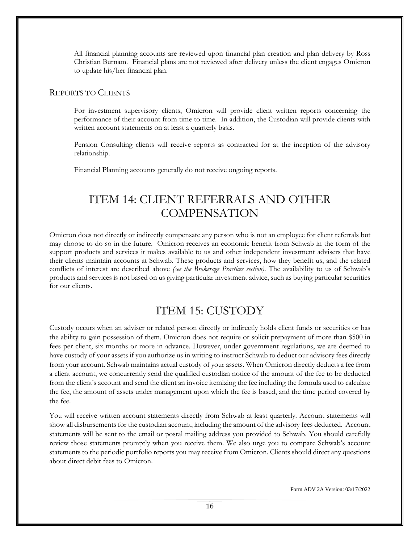All financial planning accounts are reviewed upon financial plan creation and plan delivery by Ross Christian Burnam. Financial plans are not reviewed after delivery unless the client engages Omicron to update his/her financial plan.

#### REPORTS TO CLIENTS

For investment supervisory clients, Omicron will provide client written reports concerning the performance of their account from time to time. In addition, the Custodian will provide clients with written account statements on at least a quarterly basis.

Pension Consulting clients will receive reports as contracted for at the inception of the advisory relationship.

<span id="page-19-0"></span>Financial Planning accounts generally do not receive ongoing reports.

# ITEM 14: CLIENT REFERRALS AND OTHER **COMPENSATION**

Omicron does not directly or indirectly compensate any person who is not an employee for client referrals but may choose to do so in the future. Omicron receives an economic benefit from Schwab in the form of the support products and services it makes available to us and other independent investment advisers that have their clients maintain accounts at Schwab. These products and services, how they benefit us, and the related conflicts of interest are described above *(see the Brokerage Practices section)*. The availability to us of Schwab's products and services is not based on us giving particular investment advice, such as buying particular securities for our clients.

# ITEM 15: CUSTODY

<span id="page-19-1"></span>Custody occurs when an adviser or related person directly or indirectly holds client funds or securities or has the ability to gain possession of them. Omicron does not require or solicit prepayment of more than \$500 in fees per client, six months or more in advance. However, under government regulations, we are deemed to have custody of your assets if you authorize us in writing to instruct Schwab to deduct our advisory fees directly from your account. Schwab maintains actual custody of your assets. When Omicron directly deducts a fee from a client account, we concurrently send the qualified custodian notice of the amount of the fee to be deducted from the client's account and send the client an invoice itemizing the fee including the formula used to calculate the fee, the amount of assets under management upon which the fee is based, and the time period covered by the fee.

You will receive written account statements directly from Schwab at least quarterly. Account statements will show all disbursements for the custodian account, including the amount of the advisory fees deducted. Account statements will be sent to the email or postal mailing address you provided to Schwab. You should carefully review those statements promptly when you receive them. We also urge you to compare Schwab's account statements to the periodic portfolio reports you may receive from Omicron. Clients should direct any questions about direct debit fees to Omicron.